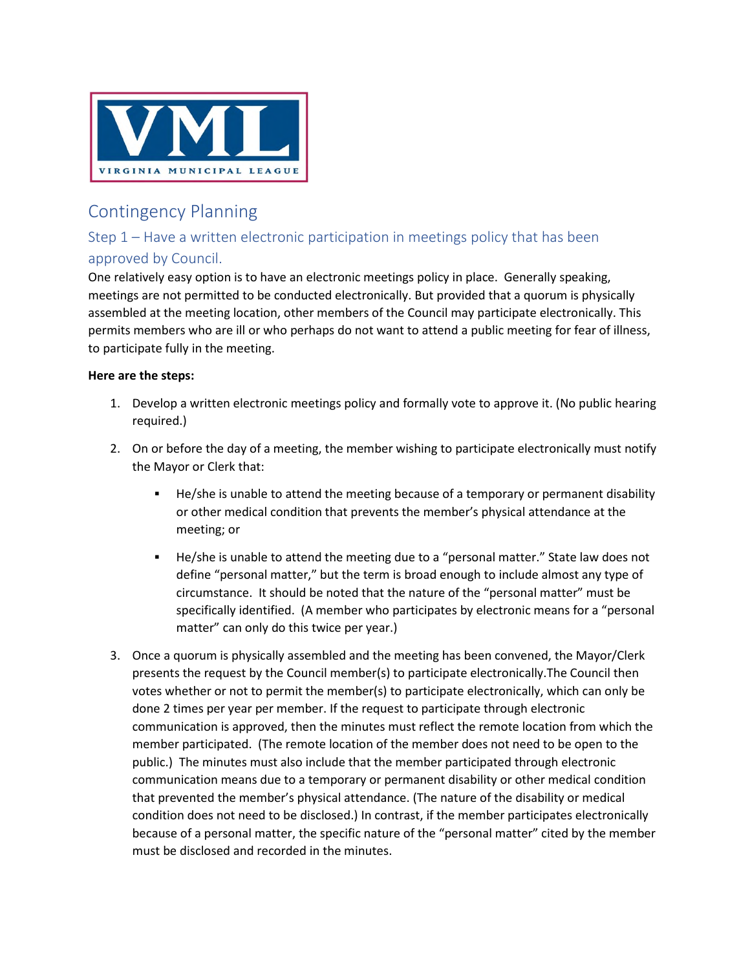

## Contingency Planning

## Step 1 – Have a written electronic participation in meetings policy that has been approved by Council.

One relatively easy option is to have an electronic meetings policy in place. Generally speaking, meetings are not permitted to be conducted electronically. But provided that a quorum is physically assembled at the meeting location, other members of the Council may participate electronically. This permits members who are ill or who perhaps do not want to attend a public meeting for fear of illness, to participate fully in the meeting.

## **Here are the steps:**

- 1. Develop a written electronic meetings policy and formally vote to approve it. (No public hearing required.)
- 2. On or before the day of a meeting, the member wishing to participate electronically must notify the Mayor or Clerk that:
	- **He/she is unable to attend the meeting because of a temporary or permanent disability** or other medical condition that prevents the member's physical attendance at the meeting; or
	- **He/she is unable to attend the meeting due to a "personal matter." State law does not** define "personal matter," but the term is broad enough to include almost any type of circumstance. It should be noted that the nature of the "personal matter" must be specifically identified. (A member who participates by electronic means for a "personal matter" can only do this twice per year.)
- 3. Once a quorum is physically assembled and the meeting has been convened, the Mayor/Clerk presents the request by the Council member(s) to participate electronically.The Council then votes whether or not to permit the member(s) to participate electronically, which can only be done 2 times per year per member. If the request to participate through electronic communication is approved, then the minutes must reflect the remote location from which the member participated. (The remote location of the member does not need to be open to the public.) The minutes must also include that the member participated through electronic communication means due to a temporary or permanent disability or other medical condition that prevented the member's physical attendance. (The nature of the disability or medical condition does not need to be disclosed.) In contrast, if the member participates electronically because of a personal matter, the specific nature of the "personal matter" cited by the member must be disclosed and recorded in the minutes.